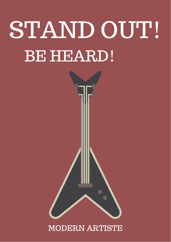# STAND OUT! BE HEARD!



# MODERN ARTISTE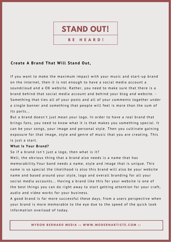

B<sub>E</sub> **HEARD!** 

## Create A Brand That Will Stand Out,

If you want to make the maximum impact with your music and start-up brand on the internet, then it is not enough to have a social media account a soundcloud and a OK website. Rather, you need to make sure that there is a brand behind that social media account and behind your blog and website. -Something that ties all of your posts and all of your comments together under a single banner and something that people will feel is more than the sum of its parts...

But a brand doesn't just mean your logo. In order to have a real brand that brings fans, you need to know what it is that makes you something special. It can be your songs, your image and personal style. Then you cultivate gaining exposure for that image, style and genre of music that you are creating. This is just a start.

#### What Is Your Brand?

So if a brand isn't just a logo, then what is it?

Well, the obvious thing that a brand also needs is a name that has memorability. Your band needs a name, style and image that is unique. This name is so special the likelihood is also this brand will also be your website name and based around your style, logo and overall branding for all your social media accounts... Having a brand like this for your website is one of the best things you can do right away to start getting attention for your craft, audio and video works for your business.

A good brand is far more successful these days, from a users perspective when your brand is more memorable to the eye due to the speed of the quick look information overload of today.